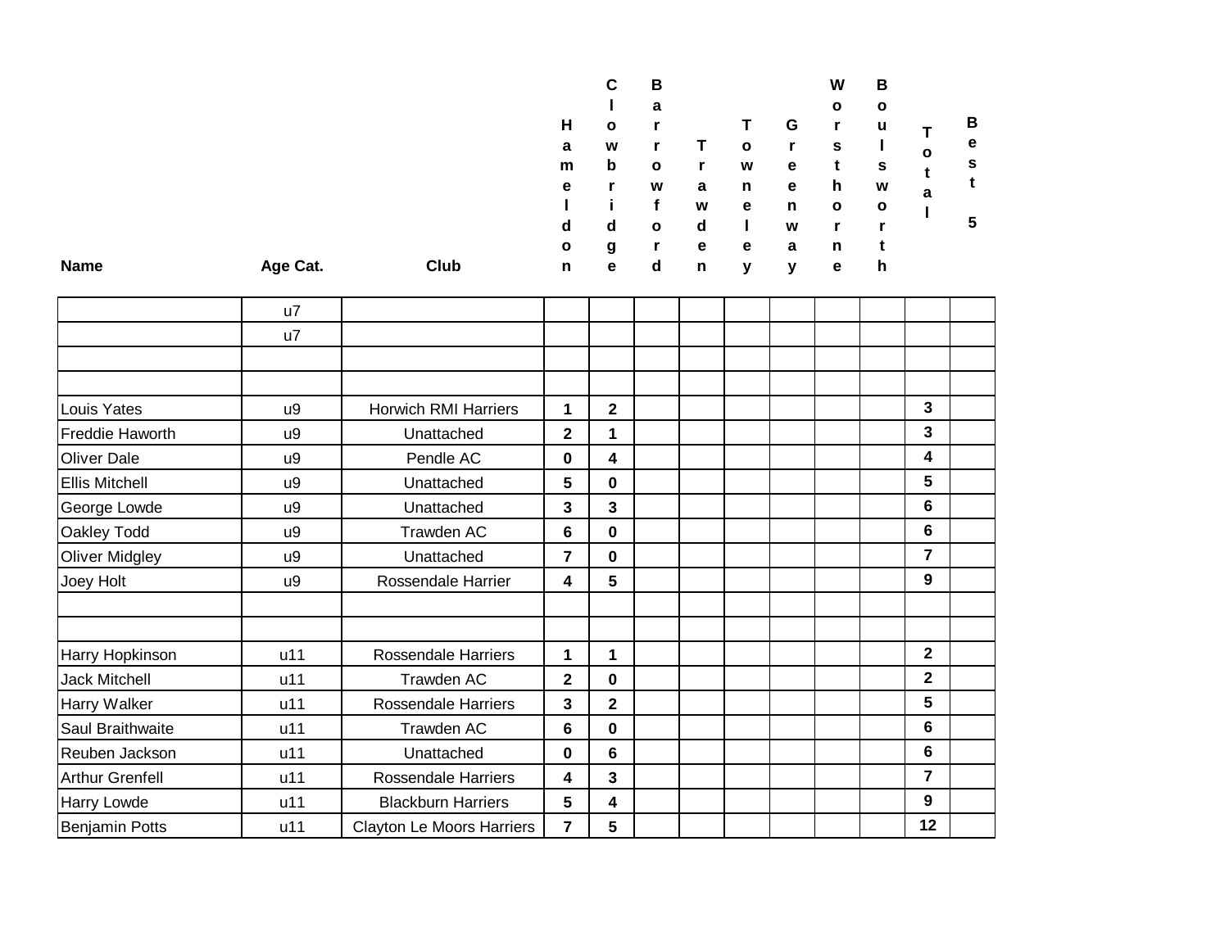|             |          |      |              | C            | в            |   |              |   | W            | в            |              |   |  |
|-------------|----------|------|--------------|--------------|--------------|---|--------------|---|--------------|--------------|--------------|---|--|
|             |          |      |              |              | a            |   |              |   | $\mathbf{o}$ | $\mathbf{o}$ |              |   |  |
|             |          |      | н            | $\mathbf{o}$ |              |   |              | G |              | u            |              | В |  |
|             |          |      | a            | W            |              |   | $\mathbf{o}$ |   | s            |              | $\mathbf{o}$ | е |  |
|             |          |      | m            | b            | $\mathbf{o}$ |   | W            | e |              | s            |              | s |  |
|             |          |      | e            |              | W            | a | n            | e | h            | W            | a            |   |  |
|             |          |      |              |              |              | W | е            | n | $\mathbf{o}$ | $\mathbf{o}$ |              |   |  |
|             |          |      | d            | d            | $\mathbf{o}$ | d |              | W |              | r            |              | 5 |  |
|             |          |      | $\mathbf{o}$ | g            | r            | e | е            | a | n            |              |              |   |  |
| <b>Name</b> | Age Cat. | Club | n            | e            | d            | n | v            | v | е            | h            |              |   |  |
|             |          |      |              |              |              |   |              |   |              |              |              |   |  |

|                       | u7  |                                  |                         |                         |  |  |  |                |  |
|-----------------------|-----|----------------------------------|-------------------------|-------------------------|--|--|--|----------------|--|
|                       | u7  |                                  |                         |                         |  |  |  |                |  |
|                       |     |                                  |                         |                         |  |  |  |                |  |
|                       |     |                                  |                         |                         |  |  |  |                |  |
| Louis Yates           | u9  | <b>Horwich RMI Harriers</b>      | 1                       | $\mathbf{2}$            |  |  |  | 3              |  |
| Freddie Haworth       | u9  | Unattached                       | $\overline{\mathbf{2}}$ | 1                       |  |  |  | 3              |  |
| <b>Oliver Dale</b>    | u9  | Pendle AC                        | 0                       | 4                       |  |  |  | 4              |  |
| <b>Ellis Mitchell</b> | u9  | Unattached                       | 5                       | $\mathbf 0$             |  |  |  | 5              |  |
| George Lowde          | u9  | Unattached                       | 3                       | 3                       |  |  |  | 6              |  |
| Oakley Todd           | u9  | Trawden AC                       | 6                       | $\mathbf 0$             |  |  |  | 6              |  |
| <b>Oliver Midgley</b> | u9  | Unattached                       | $\overline{7}$          | $\mathbf 0$             |  |  |  | 7              |  |
| Joey Holt             | u9  | Rossendale Harrier               | 4                       | 5                       |  |  |  | 9              |  |
|                       |     |                                  |                         |                         |  |  |  |                |  |
|                       |     |                                  |                         |                         |  |  |  |                |  |
| Harry Hopkinson       | u11 | Rossendale Harriers              | 1                       | 1                       |  |  |  | $\overline{2}$ |  |
| <b>Jack Mitchell</b>  | u11 | Trawden AC                       | $\overline{\mathbf{2}}$ | $\mathbf 0$             |  |  |  | $\overline{2}$ |  |
| Harry Walker          | u11 | Rossendale Harriers              | 3                       | $\overline{\mathbf{2}}$ |  |  |  | 5              |  |
| Saul Braithwaite      | u11 | Trawden AC                       | $6\phantom{1}$          | $\mathbf 0$             |  |  |  | 6              |  |
| Reuben Jackson        | u11 | Unattached                       | $\bf{0}$                | $6\phantom{1}$          |  |  |  | 6              |  |
| Arthur Grenfell       | u11 | <b>Rossendale Harriers</b>       | 4                       | $\overline{\mathbf{3}}$ |  |  |  | 7              |  |
| Harry Lowde           | u11 | <b>Blackburn Harriers</b>        | 5                       | 4                       |  |  |  | 9              |  |
| <b>Benjamin Potts</b> | u11 | <b>Clayton Le Moors Harriers</b> | $\overline{7}$          | 5                       |  |  |  | 12             |  |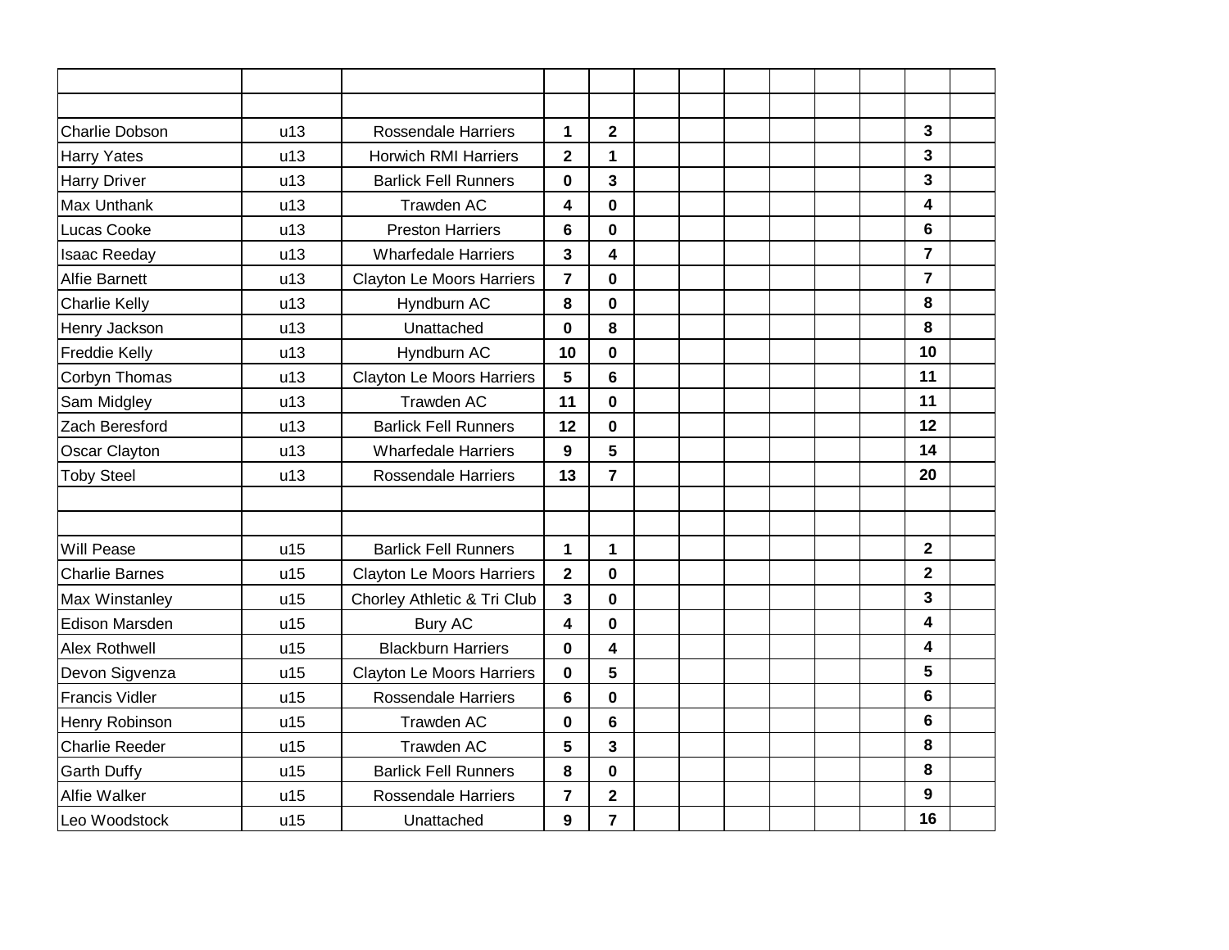| <b>Charlie Dobson</b> | u13 | <b>Rossendale Harriers</b>       | 1                       | $\mathbf 2$             |  |  |  | $\mathbf{3}$    |  |
|-----------------------|-----|----------------------------------|-------------------------|-------------------------|--|--|--|-----------------|--|
| <b>Harry Yates</b>    | u13 | <b>Horwich RMI Harriers</b>      | $\overline{\mathbf{2}}$ | 1                       |  |  |  | $\mathbf{3}$    |  |
| <b>Harry Driver</b>   | u13 | <b>Barlick Fell Runners</b>      | $\mathbf 0$             | 3                       |  |  |  | 3               |  |
| Max Unthank           | u13 | Trawden AC                       | 4                       | $\mathbf 0$             |  |  |  | 4               |  |
| Lucas Cooke           | u13 | <b>Preston Harriers</b>          | 6                       | $\mathbf 0$             |  |  |  | $6\phantom{1}$  |  |
| <b>Isaac Reeday</b>   | u13 | <b>Wharfedale Harriers</b>       | 3                       | 4                       |  |  |  | $\overline{7}$  |  |
| <b>Alfie Barnett</b>  | u13 | <b>Clayton Le Moors Harriers</b> | $\overline{7}$          | $\mathbf{0}$            |  |  |  | $\overline{7}$  |  |
| <b>Charlie Kelly</b>  | u13 | Hyndburn AC                      | 8                       | $\mathbf 0$             |  |  |  | 8               |  |
| Henry Jackson         | u13 | Unattached                       | $\bf{0}$                | 8                       |  |  |  | 8               |  |
| <b>Freddie Kelly</b>  | u13 | Hyndburn AC                      | 10                      | $\mathbf 0$             |  |  |  | 10              |  |
| Corbyn Thomas         | u13 | Clayton Le Moors Harriers        | 5                       | 6                       |  |  |  | 11              |  |
| Sam Midgley           | u13 | <b>Trawden AC</b>                | 11                      | $\mathbf 0$             |  |  |  | 11              |  |
| Zach Beresford        | u13 | <b>Barlick Fell Runners</b>      | 12                      | 0                       |  |  |  | 12              |  |
| Oscar Clayton         | u13 | <b>Wharfedale Harriers</b>       | 9                       | 5                       |  |  |  | 14              |  |
| <b>Toby Steel</b>     | u13 | <b>Rossendale Harriers</b>       | 13                      | $\overline{\mathbf{r}}$ |  |  |  | 20              |  |
|                       |     |                                  |                         |                         |  |  |  |                 |  |
|                       |     |                                  |                         |                         |  |  |  |                 |  |
| <b>Will Pease</b>     | u15 | <b>Barlick Fell Runners</b>      | 1                       | 1                       |  |  |  | $\mathbf{2}$    |  |
| <b>Charlie Barnes</b> | u15 | Clayton Le Moors Harriers        | $\overline{\mathbf{2}}$ | $\mathbf 0$             |  |  |  | $\mathbf{2}$    |  |
| Max Winstanley        | u15 | Chorley Athletic & Tri Club      | 3                       | $\mathbf 0$             |  |  |  | 3               |  |
| <b>Edison Marsden</b> | u15 | <b>Bury AC</b>                   | 4                       | 0                       |  |  |  | 4               |  |
| Alex Rothwell         | u15 | <b>Blackburn Harriers</b>        | $\mathbf 0$             | 4                       |  |  |  | 4               |  |
| Devon Sigvenza        | u15 | Clayton Le Moors Harriers        | 0                       | 5                       |  |  |  | 5               |  |
| <b>Francis Vidler</b> | u15 | <b>Rossendale Harriers</b>       | 6                       | $\bf{0}$                |  |  |  | $6\phantom{1}6$ |  |
| Henry Robinson        | u15 | Trawden AC                       | 0                       | 6                       |  |  |  | $6\phantom{1}6$ |  |
| <b>Charlie Reeder</b> | u15 | <b>Trawden AC</b>                | 5                       | 3                       |  |  |  | 8               |  |
| <b>Garth Duffy</b>    | u15 | <b>Barlick Fell Runners</b>      | 8                       | $\bf{0}$                |  |  |  | 8               |  |
| Alfie Walker          | u15 | <b>Rossendale Harriers</b>       | $\overline{7}$          | $\overline{\mathbf{2}}$ |  |  |  | 9               |  |
| Leo Woodstock         | u15 | Unattached                       | 9                       | $\overline{\mathbf{r}}$ |  |  |  | 16              |  |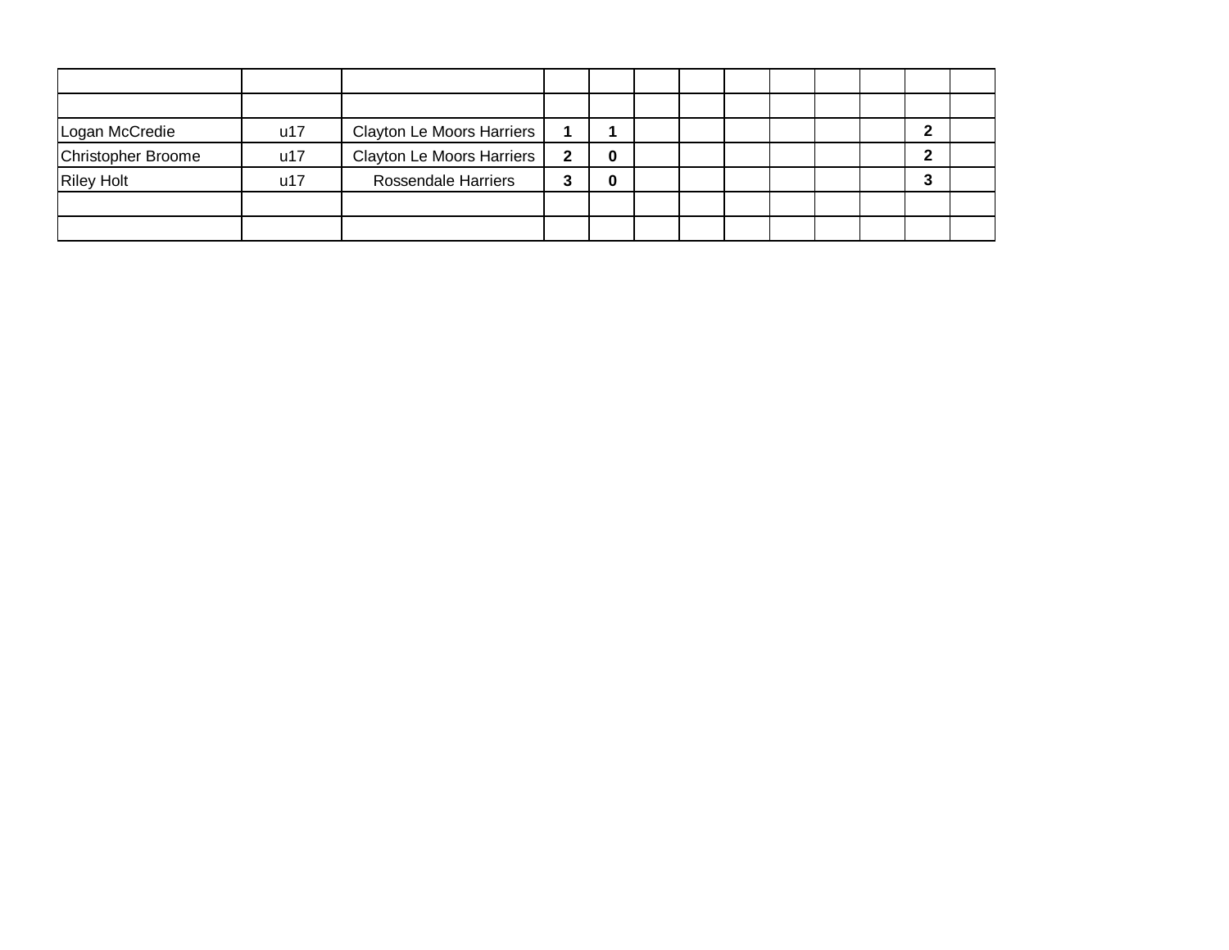| Logan McCredie     | u17 | <b>Clayton Le Moors Harriers</b> |   |   |  |  |  |  |
|--------------------|-----|----------------------------------|---|---|--|--|--|--|
| Christopher Broome | u17 | <b>Clayton Le Moors Harriers</b> | 2 | 0 |  |  |  |  |
| <b>Riley Holt</b>  | u17 | <b>Rossendale Harriers</b>       | 3 | 0 |  |  |  |  |
|                    |     |                                  |   |   |  |  |  |  |
|                    |     |                                  |   |   |  |  |  |  |